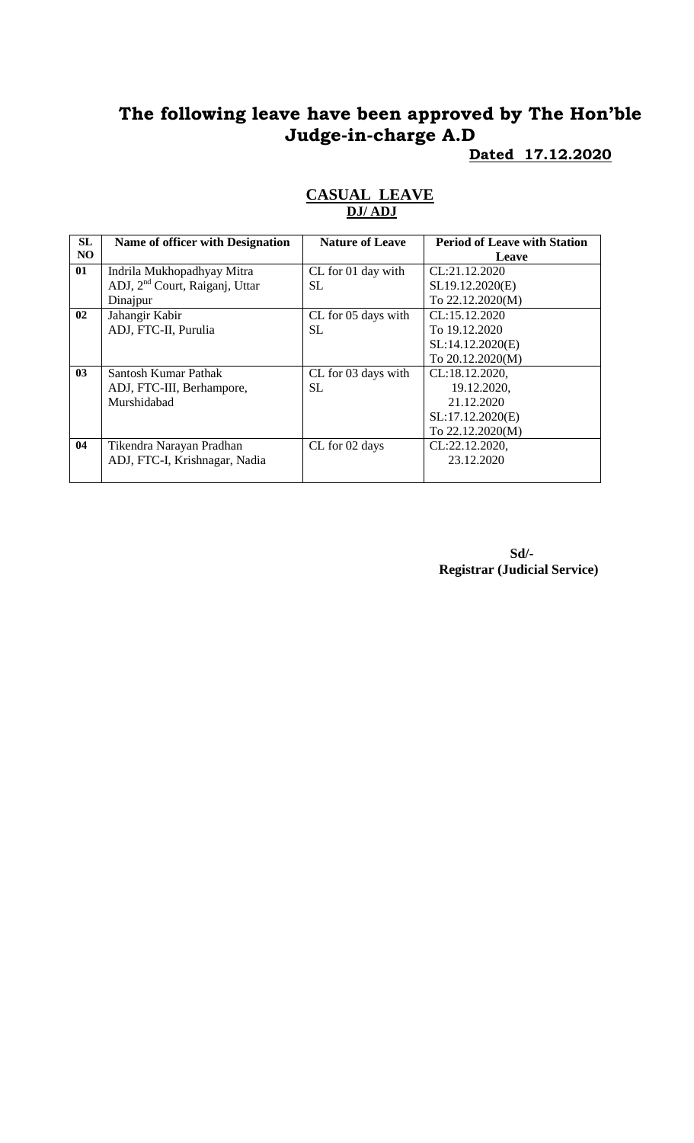# **The following leave have been approved by The Hon'ble Judge-in-charge A.D**

#### **Dated 17.12.2020**

| SL             | <b>Name of officer with Designation</b>    | <b>Nature of Leave</b> | <b>Period of Leave with Station</b> |
|----------------|--------------------------------------------|------------------------|-------------------------------------|
| N <sub>O</sub> |                                            |                        | Leave                               |
| 01             | Indrila Mukhopadhyay Mitra                 | CL for 01 day with     | CL:21.12.2020                       |
|                | ADJ, 2 <sup>nd</sup> Court, Raiganj, Uttar | SL.                    | SL19.12.2020(E)                     |
|                | Dinajpur                                   |                        | To 22.12.2020(M)                    |
| 02             | Jahangir Kabir                             | CL for 05 days with    | CL:15.12.2020                       |
|                | ADJ, FTC-II, Purulia                       | SL.                    | To 19.12.2020                       |
|                |                                            |                        | SL:14.12.2020(E)                    |
|                |                                            |                        | To 20.12.2020(M)                    |
| 03             | Santosh Kumar Pathak                       | CL for 03 days with    | CL:18.12.2020,                      |
|                | ADJ, FTC-III, Berhampore,                  | <b>SL</b>              | 19.12.2020,                         |
|                | Murshidabad                                |                        | 21.12.2020                          |
|                |                                            |                        | SL:17.12.2020(E)                    |
|                |                                            |                        | To 22.12.2020(M)                    |
| 04             | Tikendra Narayan Pradhan                   | CL for 02 days         | CL:22.12.2020,                      |
|                | ADJ, FTC-I, Krishnagar, Nadia              |                        | 23.12.2020                          |
|                |                                            |                        |                                     |

#### **CASUAL LEAVE DJ/ ADJ**

**Sd/- Registrar (Judicial Service)**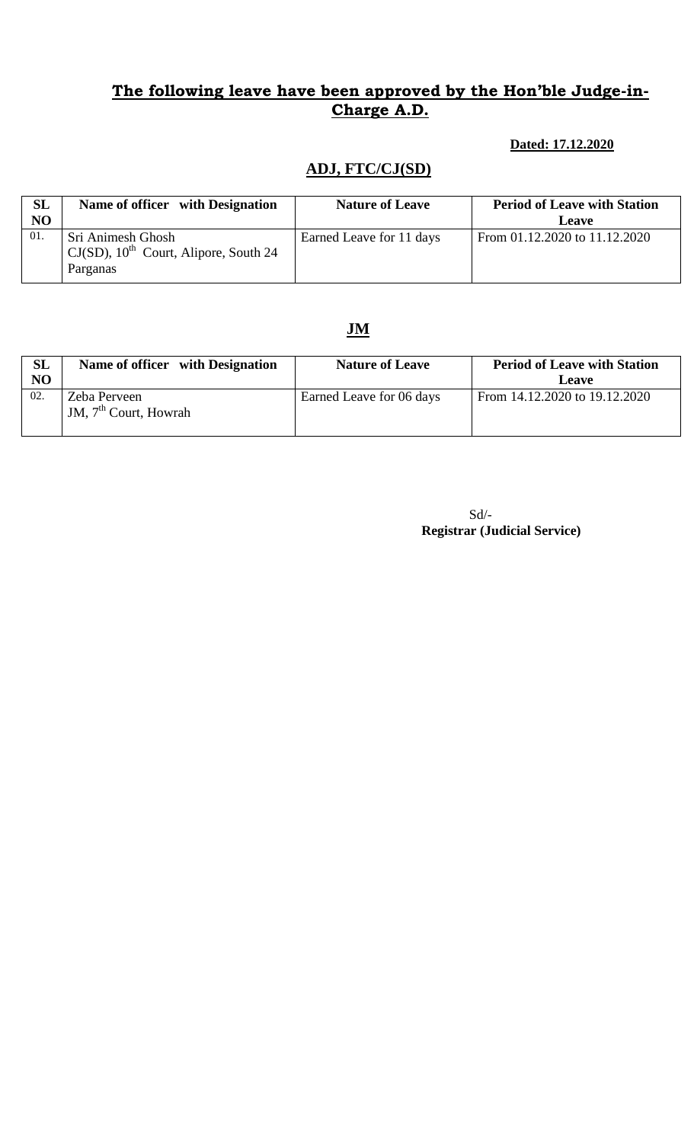### **The following leave have been approved by the Hon'ble Judge-in-Charge A.D.**

#### **Dated: 17.12.2020**

### **ADJ, FTC/CJ(SD)**

| SL<br>N <sub>O</sub> | Name of officer with Designation                                                      | <b>Nature of Leave</b>   | <b>Period of Leave with Station</b><br><b>Leave</b> |
|----------------------|---------------------------------------------------------------------------------------|--------------------------|-----------------------------------------------------|
| 01.                  | Sri Animesh Ghosh<br>$CJ(SD)$ , 10 <sup>th</sup> Court, Alipore, South 24<br>Parganas | Earned Leave for 11 days | From 01.12.2020 to 11.12.2020                       |

### **JM**

| SL<br>N <sub>O</sub> | Name of officer with Designation        | <b>Nature of Leave</b>   | <b>Period of Leave with Station</b><br>Leave |
|----------------------|-----------------------------------------|--------------------------|----------------------------------------------|
| 02.                  | Zeba Perveen<br>JM, $7th$ Court, Howrah | Earned Leave for 06 days | From 14.12.2020 to 19.12.2020                |

Sd/-  **Registrar (Judicial Service)**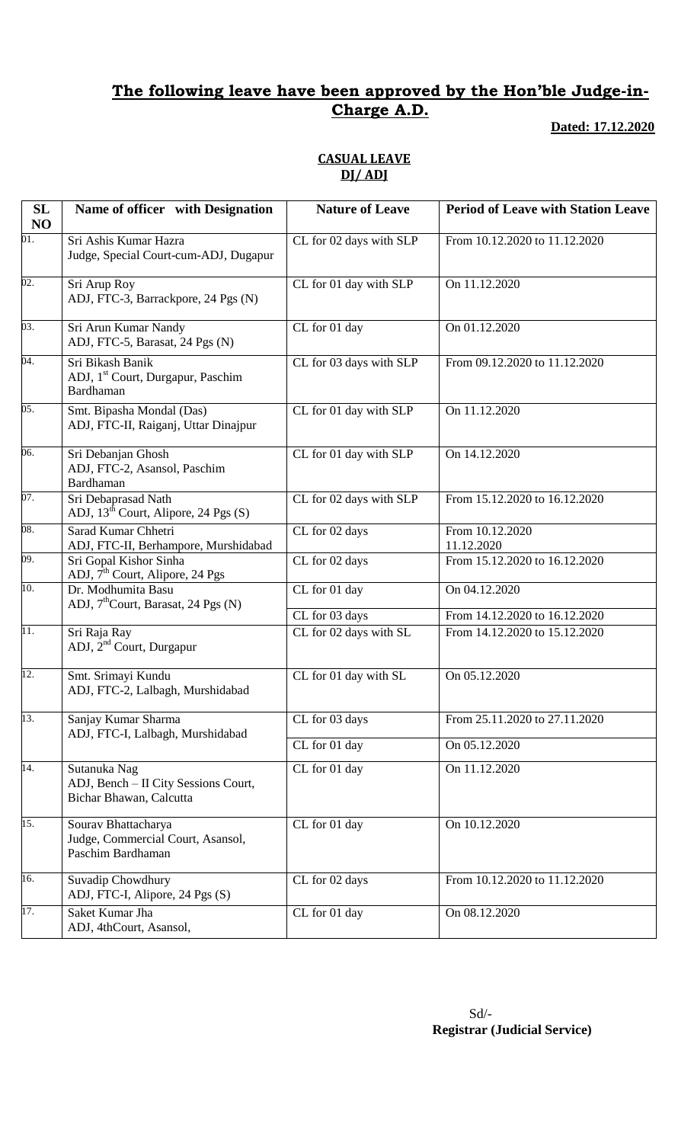### **The following leave have been approved by the Hon'ble Judge-in-Charge A.D.**

**Dated: 17.12.2020**

### **CASUAL LEAVE DJ/ ADJ**

| SL<br>NO          | Name of officer with Designation                                                | <b>Nature of Leave</b>             | <b>Period of Leave with Station Leave</b> |
|-------------------|---------------------------------------------------------------------------------|------------------------------------|-------------------------------------------|
| 01.               | Sri Ashis Kumar Hazra<br>Judge, Special Court-cum-ADJ, Dugapur                  | CL for 02 days with SLP            | From 10.12.2020 to 11.12.2020             |
| $\overline{02}$ . | Sri Arup Roy<br>ADJ, FTC-3, Barrackpore, 24 Pgs (N)                             | CL for 01 day with SLP             | On 11.12.2020                             |
| 03.               | Sri Arun Kumar Nandy<br>ADJ, FTC-5, Barasat, 24 Pgs (N)                         | CL for 01 day                      | On 01.12.2020                             |
| 04.               | Sri Bikash Banik<br>ADJ, 1 <sup>st</sup> Court, Durgapur, Paschim<br>Bardhaman  | CL for 03 days with SLP            | From 09.12.2020 to 11.12.2020             |
| 05.               | Smt. Bipasha Mondal (Das)<br>ADJ, FTC-II, Raiganj, Uttar Dinajpur               | CL for 01 day with SLP             | On 11.12.2020                             |
| 06.               | Sri Debanjan Ghosh<br>ADJ, FTC-2, Asansol, Paschim<br>Bardhaman                 | CL for 01 day with SLP             | On 14.12.2020                             |
| 07.               | Sri Debaprasad Nath<br>ADJ, $13^{\text{th}}$ Court, Alipore, 24 Pgs (S)         | CL for 02 days with SLP            | From 15.12.2020 to 16.12.2020             |
| 08.               | Sarad Kumar Chhetri<br>ADJ, FTC-II, Berhampore, Murshidabad                     | CL for 02 days                     | From 10.12.2020<br>11.12.2020             |
| 09.               | Sri Gopal Kishor Sinha<br>ADJ, 7 <sup>th</sup> Court, Alipore, 24 Pgs           | $\overline{\text{CL}}$ for 02 days | From 15.12.2020 to 16.12.2020             |
| 10.               | Dr. Modhumita Basu<br>ADJ, $7th$ Court, Barasat, 24 Pgs (N)                     | CL for 01 day                      | On 04.12.2020                             |
|                   |                                                                                 | CL for 03 days                     | From 14.12.2020 to 16.12.2020             |
| 11.               | Sri Raja Ray<br>ADJ, 2 <sup>nd</sup> Court, Durgapur                            | CL for 02 days with SL             | From 14.12.2020 to 15.12.2020             |
| 12.               | Smt. Srimayi Kundu<br>ADJ, FTC-2, Lalbagh, Murshidabad                          | CL for 01 day with SL              | On 05.12.2020                             |
| 13.               | Sanjay Kumar Sharma<br>ADJ, FTC-I, Lalbagh, Murshidabad                         | CL for 03 days                     | From 25.11.2020 to 27.11.2020             |
|                   |                                                                                 | CL for 01 day                      | On 05.12.2020                             |
| 14.               | Sutanuka Nag<br>ADJ, Bench - II City Sessions Court,<br>Bichar Bhawan, Calcutta | CL for 01 day                      | On 11.12.2020                             |
| 15.               | Sourav Bhattacharya<br>Judge, Commercial Court, Asansol,<br>Paschim Bardhaman   | CL for 01 day                      | On 10.12.2020                             |
| 16.               | Suvadip Chowdhury<br>ADJ, FTC-I, Alipore, 24 Pgs (S)                            | CL for 02 days                     | From 10.12.2020 to 11.12.2020             |
| 17.               | Saket Kumar Jha<br>ADJ, 4thCourt, Asansol,                                      | CL for 01 day                      | On 08.12.2020                             |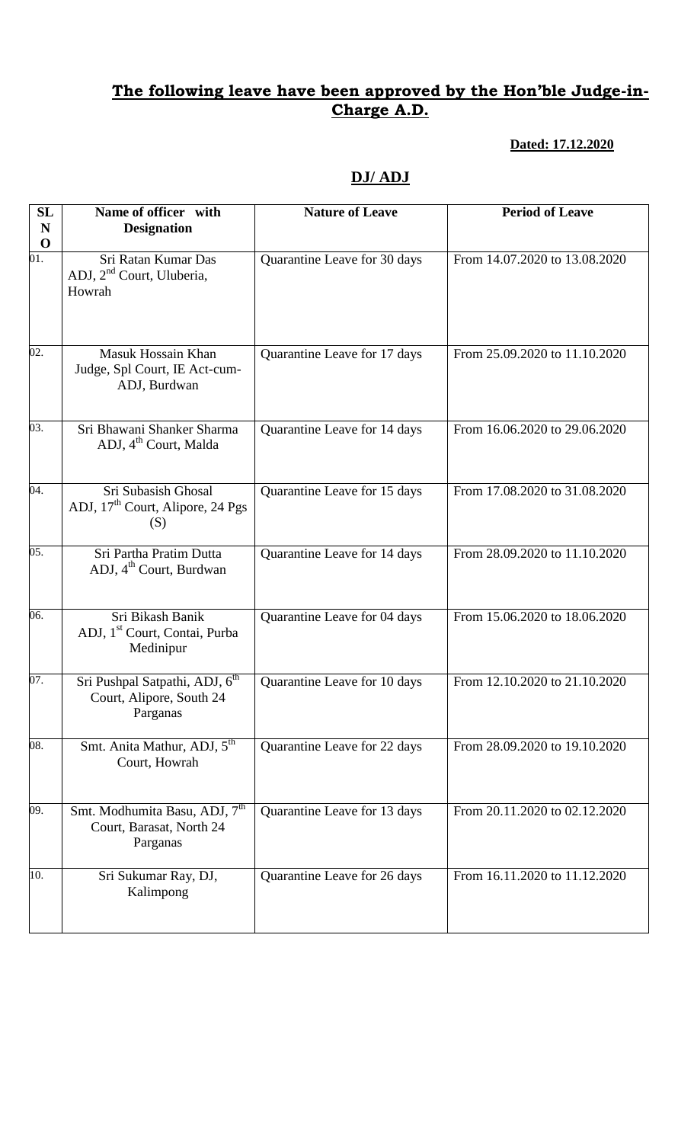### **The following leave have been approved by the Hon'ble Judge-in-Charge A.D.**

#### **Dated: 17.12.2020**

## **DJ/ ADJ**

| <b>SL</b><br>N<br>$\mathbf 0$ | Name of officer with<br><b>Designation</b>                                         | <b>Nature of Leave</b>       | <b>Period of Leave</b>        |
|-------------------------------|------------------------------------------------------------------------------------|------------------------------|-------------------------------|
| 01.                           | Sri Ratan Kumar Das<br>ADJ, 2 <sup>nd</sup> Court, Uluberia,<br>Howrah             | Quarantine Leave for 30 days | From 14.07.2020 to 13.08.2020 |
| $\overline{02}$ .             | Masuk Hossain Khan<br>Judge, Spl Court, IE Act-cum-<br>ADJ, Burdwan                | Quarantine Leave for 17 days | From 25.09.2020 to 11.10.2020 |
| 03.                           | Sri Bhawani Shanker Sharma<br>ADJ, 4 <sup>th</sup> Court, Malda                    | Quarantine Leave for 14 days | From 16.06.2020 to 29.06.2020 |
| $\overline{04}$ .             | Sri Subasish Ghosal<br>ADJ, 17 <sup>th</sup> Court, Alipore, 24 Pgs<br>(S)         | Quarantine Leave for 15 days | From 17.08.2020 to 31.08.2020 |
| 05.                           | Sri Partha Pratim Dutta<br>ADJ, 4 <sup>th</sup> Court, Burdwan                     | Quarantine Leave for 14 days | From 28.09.2020 to 11.10.2020 |
| 06.                           | Sri Bikash Banik<br>ADJ, 1 <sup>st</sup> Court, Contai, Purba<br>Medinipur         | Quarantine Leave for 04 days | From 15.06.2020 to 18.06.2020 |
| 07.                           | Sri Pushpal Satpathi, ADJ, 6 <sup>th</sup><br>Court, Alipore, South 24<br>Parganas | Quarantine Leave for 10 days | From 12.10.2020 to 21.10.2020 |
| $\overline{08}$ .             | Smt. Anita Mathur, ADJ, 5 <sup>th</sup><br>Court, Howrah                           | Quarantine Leave for 22 days | From 28.09.2020 to 19.10.2020 |
| 09.                           | Smt. Modhumita Basu, ADJ, 7 <sup>th</sup><br>Court, Barasat, North 24<br>Parganas  | Quarantine Leave for 13 days | From 20.11.2020 to 02.12.2020 |
| 10.                           | Sri Sukumar Ray, DJ,<br>Kalimpong                                                  | Quarantine Leave for 26 days | From 16.11.2020 to 11.12.2020 |